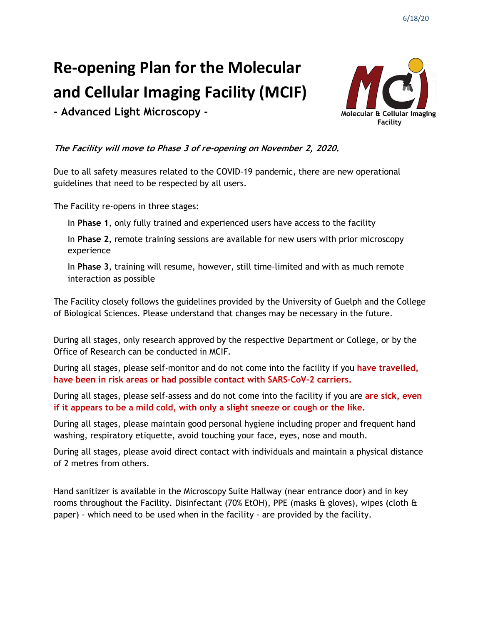# **Re-opening Plan for the Molecular and Cellular Imaging Facility (MCIF)**



**- Advanced Light Microscopy -**

# **The Facility will move to Phase 3 of re-opening on November 2, 2020.**

Due to all safety measures related to the COVID-19 pandemic, there are new operational guidelines that need to be respected by all users.

# The Facility re-opens in three stages:

In **Phase 1**, only fully trained and experienced users have access to the facility

In **Phase 2**, remote training sessions are available for new users with prior microscopy experience

In **Phase 3**, training will resume, however, still time-limited and with as much remote interaction as possible

The Facility closely follows the guidelines provided by the University of Guelph and the College of Biological Sciences. Please understand that changes may be necessary in the future.

During all stages, only research approved by the respective Department or College, or by the Office of Research can be conducted in MCIF.

During all stages, please self-monitor and do not come into the facility if you **have travelled, have been in risk areas or had possible contact with SARS-CoV-2 carriers.**

During all stages, please self-assess and do not come into the facility if you are **are sick, even if it appears to be a mild cold, with only a slight sneeze or cough or the like.**

During all stages, please maintain good personal hygiene including proper and frequent hand washing, respiratory etiquette, avoid touching your face, eyes, nose and mouth.

During all stages, please avoid direct contact with individuals and maintain a physical distance of 2 metres from others.

Hand sanitizer is available in the Microscopy Suite Hallway (near entrance door) and in key rooms throughout the Facility. Disinfectant (70% EtOH), PPE (masks & gloves), wipes (cloth & paper) - which need to be used when in the facility - are provided by the facility.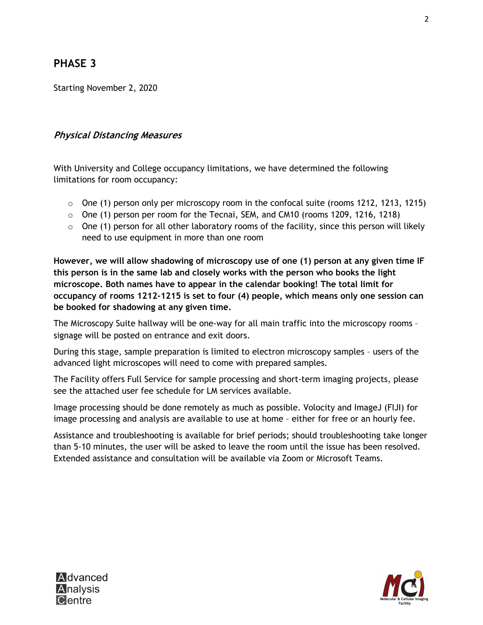# **PHASE 3**

Starting November 2, 2020

# **Physical Distancing Measures**

With University and College occupancy limitations, we have determined the following limitations for room occupancy:

- $\circ$  One (1) person only per microscopy room in the confocal suite (rooms 1212, 1213, 1215)
- $\circ$  One (1) person per room for the Tecnai, SEM, and CM10 (rooms 1209, 1216, 1218)
- $\circ$  One (1) person for all other laboratory rooms of the facility, since this person will likely need to use equipment in more than one room

**However, we will allow shadowing of microscopy use of one (1) person at any given time IF this person is in the same lab and closely works with the person who books the light microscope. Both names have to appear in the calendar booking! The total limit for occupancy of rooms 1212-1215 is set to four (4) people, which means only one session can be booked for shadowing at any given time.**

The Microscopy Suite hallway will be one-way for all main traffic into the microscopy rooms – signage will be posted on entrance and exit doors.

During this stage, sample preparation is limited to electron microscopy samples – users of the advanced light microscopes will need to come with prepared samples.

The Facility offers Full Service for sample processing and short-term imaging projects, please see the attached user fee schedule for LM services available.

Image processing should be done remotely as much as possible. Volocity and ImageJ (FIJI) for image processing and analysis are available to use at home – either for free or an hourly fee.

Assistance and troubleshooting is available for brief periods; should troubleshooting take longer than 5-10 minutes, the user will be asked to leave the room until the issue has been resolved. Extended assistance and consultation will be available via Zoom or Microsoft Teams.



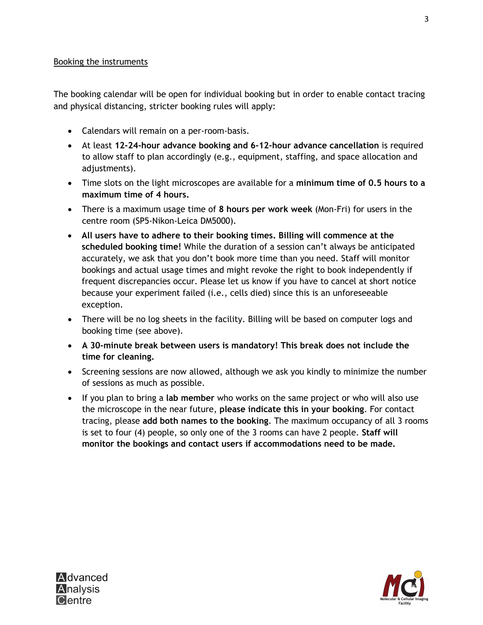#### Booking the instruments

The booking calendar will be open for individual booking but in order to enable contact tracing and physical distancing, stricter booking rules will apply:

- Calendars will remain on a per-room-basis.
- At least **12-24-hour advance booking and 6-12-hour advance cancellation** is required to allow staff to plan accordingly (e.g., equipment, staffing, and space allocation and adjustments).
- Time slots on the light microscopes are available for a **minimum time of 0.5 hours to a maximum time of 4 hours.**
- There is a maximum usage time of **8 hours per work week** (Mon-Fri) for users in the centre room (SP5-Nikon-Leica DM5000).
- **All users have to adhere to their booking times. Billing will commence at the scheduled booking time!** While the duration of a session can't always be anticipated accurately, we ask that you don't book more time than you need. Staff will monitor bookings and actual usage times and might revoke the right to book independently if frequent discrepancies occur. Please let us know if you have to cancel at short notice because your experiment failed (i.e., cells died) since this is an unforeseeable exception.
- There will be no log sheets in the facility. Billing will be based on computer logs and booking time (see above).
- **A 30-minute break between users is mandatory! This break does not include the time for cleaning.**
- Screening sessions are now allowed, although we ask you kindly to minimize the number of sessions as much as possible.
- If you plan to bring a **lab member** who works on the same project or who will also use the microscope in the near future, **please indicate this in your booking**. For contact tracing, please **add both names to the booking**. The maximum occupancy of all 3 rooms is set to four (4) people, so only one of the 3 rooms can have 2 people. **Staff will monitor the bookings and contact users if accommodations need to be made.**



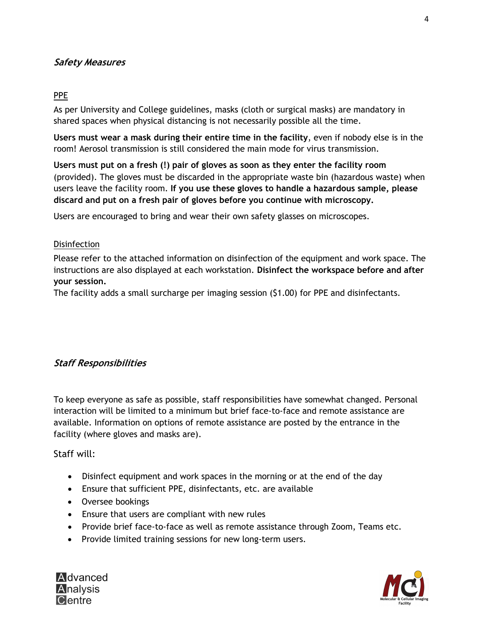# **Safety Measures**

#### PPE

As per University and College guidelines, masks (cloth or surgical masks) are mandatory in shared spaces when physical distancing is not necessarily possible all the time.

**Users must wear a mask during their entire time in the facility**, even if nobody else is in the room! Aerosol transmission is still considered the main mode for virus transmission.

**Users must put on a fresh (!) pair of gloves as soon as they enter the facility room** (provided). The gloves must be discarded in the appropriate waste bin (hazardous waste) when users leave the facility room. **If you use these gloves to handle a hazardous sample, please discard and put on a fresh pair of gloves before you continue with microscopy.**

Users are encouraged to bring and wear their own safety glasses on microscopes.

#### **Disinfection**

Please refer to the attached information on disinfection of the equipment and work space. The instructions are also displayed at each workstation. **Disinfect the workspace before and after your session.**

The facility adds a small surcharge per imaging session (\$1.00) for PPE and disinfectants.

### **Staff Responsibilities**

To keep everyone as safe as possible, staff responsibilities have somewhat changed. Personal interaction will be limited to a minimum but brief face-to-face and remote assistance are available. Information on options of remote assistance are posted by the entrance in the facility (where gloves and masks are).

### Staff will:

- Disinfect equipment and work spaces in the morning or at the end of the day
- Ensure that sufficient PPE, disinfectants, etc. are available
- Oversee bookings
- Ensure that users are compliant with new rules
- Provide brief face-to-face as well as remote assistance through Zoom, Teams etc.
- Provide limited training sessions for new long-term users.